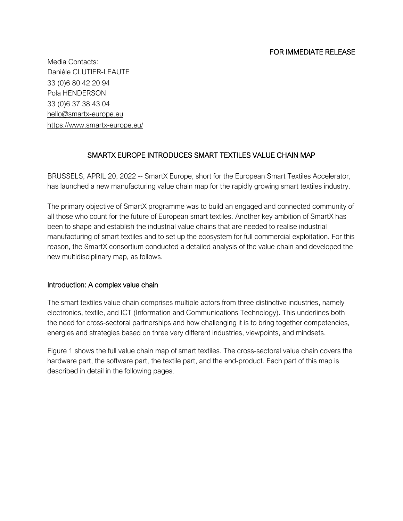Media Contacts: Danièle CLUTIER-LEAUTE 33 (0)6 80 42 20 94 Pola HENDERSON 33 (0)6 37 38 43 04 hello@smartx-europe.eu <https://www.smartx-europe.eu/>

# SMARTX EUROPE INTRODUCES SMART TEXTILES VALUE CHAIN MAP

BRUSSELS, APRIL 20, 2022 -- SmartX Europe, short for the European Smart Textiles Accelerator, has launched a new manufacturing value chain map for the rapidly growing smart textiles industry.

The primary objective of SmartX programme was to build an engaged and connected community of all those who count for the future of European smart textiles. Another key ambition of SmartX has been to shape and establish the industrial value chains that are needed to realise industrial manufacturing of smart textiles and to set up the ecosystem for full commercial exploitation. For this reason, the SmartX consortium conducted a detailed analysis of the value chain and developed the new multidisciplinary map, as follows.

### Introduction: A complex value chain

The smart textiles value chain comprises multiple actors from three distinctive industries, namely electronics, textile, and ICT (Information and Communications Technology). This underlines both the need for cross-sectoral partnerships and how challenging it is to bring together competencies, energies and strategies based on three very different industries, viewpoints, and mindsets.

Figure 1 shows the full value chain map of smart textiles. The cross-sectoral value chain covers the hardware part, the software part, the textile part, and the end-product. Each part of this map is described in detail in the following pages.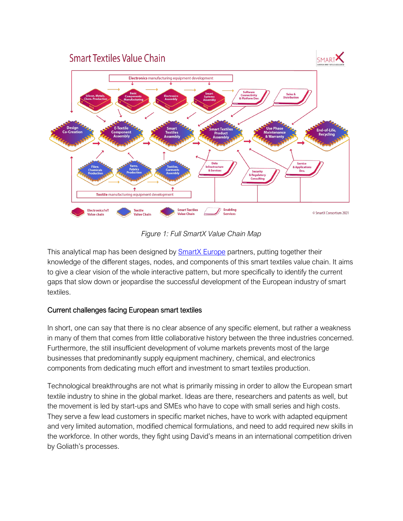

*Figure 1: Full SmartX Value Chain Map*

This analytical map has been designed by [SmartX](https://www.smartx-europe.eu/) Europe partners, putting together their knowledge of the different stages, nodes, and components of this smart textiles value chain. It aims to give a clear vision of the whole interactive pattern, but more specifically to identify the current gaps that slow down or jeopardise the successful development of the European industry of smart textiles.

# Current challenges facing European smart textiles

In short, one can say that there is no clear absence of any specific element, but rather a weakness in many of them that comes from little collaborative history between the three industries concerned. Furthermore, the still insufficient development of volume markets prevents most of the large businesses that predominantly supply equipment machinery, chemical, and electronics components from dedicating much effort and investment to smart textiles production.

Technological breakthroughs are not what is primarily missing in order to allow the European smart textile industry to shine in the global market. Ideas are there, researchers and patents as well, but the movement is led by start-ups and SMEs who have to cope with small series and high costs. They serve a few lead customers in specific market niches, have to work with adapted equipment and very limited automation, modified chemical formulations, and need to add required new skills in the workforce.In other words, they fight using David's means in an international competition driven by Goliath's processes.